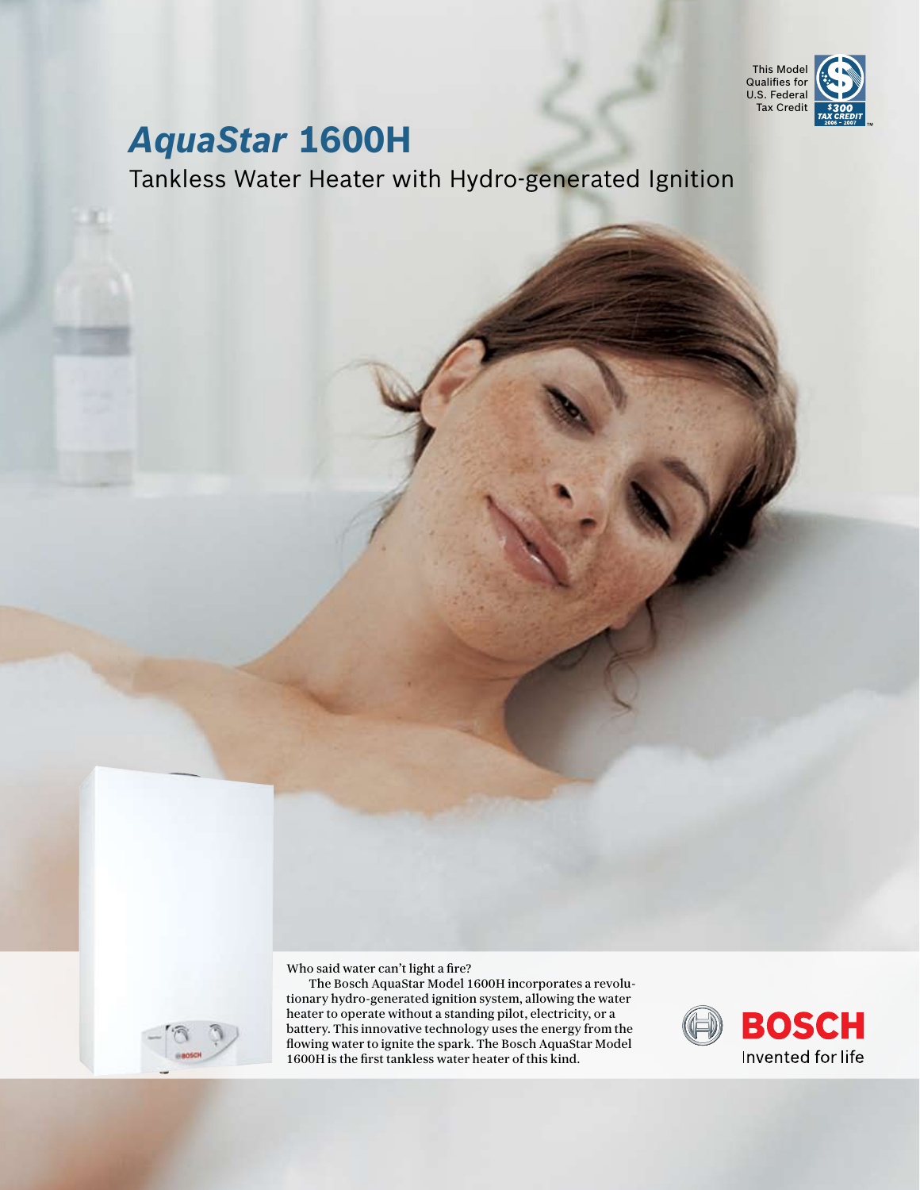

## *AquaStar* **1600H**

Tankless Water Heater with Hydro-generated Ignition

Who said water can't light a fire?

The Bosch AquaStar Model 1600H incorporates a revolutionary hydro-generated ignition system, allowing the water heater to operate without a standing pilot, electricity, or a battery. This innovative technology uses the energy from the flowing water to ignite the spark. The Bosch AquaStar Model 1600H is the first tankless water heater of this kind.